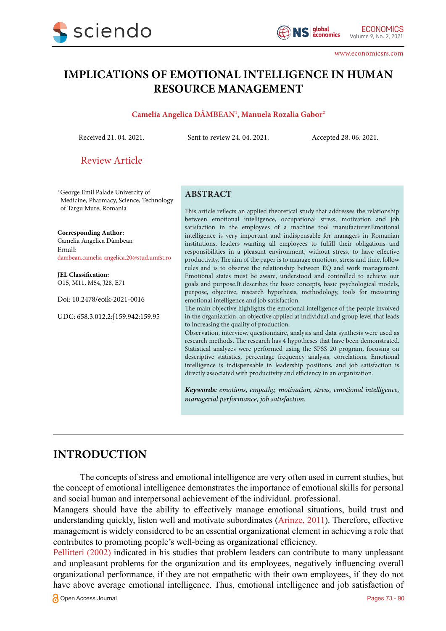

www.economicsrs.com

# **IMPLICATIONS OF EMOTIONAL INTELLIGENCE IN HUMAN RESOURCE MANAGEMENT**

#### **Camelia Angelica DÂMBEAN1 , Manuela Rozalia Gabor2**

Received 21. 04. 2021. Sent to review 24. 04. 2021. Accepted 28. 06. 2021.

Review Article

<sup>1</sup> George Emil Palade Univercity of Medicine, Pharmacy, Science, Technology of Targu Mure, Romania

**Corresponding Author:** Camelia Angelica Dâmbean Email: dambean.camelia-angelica.20@stud.umfst.ro

**JEL Classification:** O15, M11, M54, J28, E71

Doi: 10.2478/eoik-2021-0016

UDC: 658.3.012.2:[159.942:159.95

#### **ABSTRACT**

This article reflects an applied theoretical study that addresses the relationship between emotional intelligence, occupational stress, motivation and job satisfaction in the employees of a machine tool manufacturer.Emotional intelligence is very important and indispensable for managers in Romanian institutions, leaders wanting all employees to fulfill their obligations and responsibilities in a pleasant environment, without stress, to have effective productivity. The aim of the paper is to manage emotions, stress and time, follow rules and is to observe the relationship between EQ and work management. Emotional states must be aware, understood and controlled to achieve our goals and purpose.It describes the basic concepts, basic psychological models, purpose, objective, research hypothesis, methodology, tools for measuring emotional intelligence and job satisfaction.

The main objective highlights the emotional intelligence of the people involved in the organization, an objective applied at individual and group level that leads to increasing the quality of production.

Observation, interview, questionnaire, analysis and data synthesis were used as research methods. The research has 4 hypotheses that have been demonstrated. Statistical analyzes were performed using the SPSS 20 program, focusing on descriptive statistics, percentage frequency analysis, correlations. Emotional intelligence is indispensable in leadership positions, and job satisfaction is directly associated with productivity and efficiency in an organization.

*Keywords: emotions, empathy, motivation, stress, emotional intelligence, managerial performance, job satisfaction.*

# **INTRODUCTION**

The concepts of stress and emotional intelligence are very often used in current studies, but the concept of emotional intelligence demonstrates the importance of emotional skills for personal and social human and interpersonal achievement of the individual. professional.

Managers should have the ability to effectively manage emotional situations, build trust and understanding quickly, listen well and motivate subordinates [\(Arinze, 2011\)](#page-14-0). Therefore, effective management is widely considered to be an essential organizational element in achieving a role that contributes to promoting people's well-being as organizational efficiency.

[Pellitteri \(2002\)](#page-15-0) indicated in his studies that problem leaders can contribute to many unpleasant and unpleasant problems for the organization and its employees, negatively influencing overall organizational performance, if they are not empathetic with their own employees, if they do not have above average emotional intelligence. Thus, emotional intelligence and job satisfaction of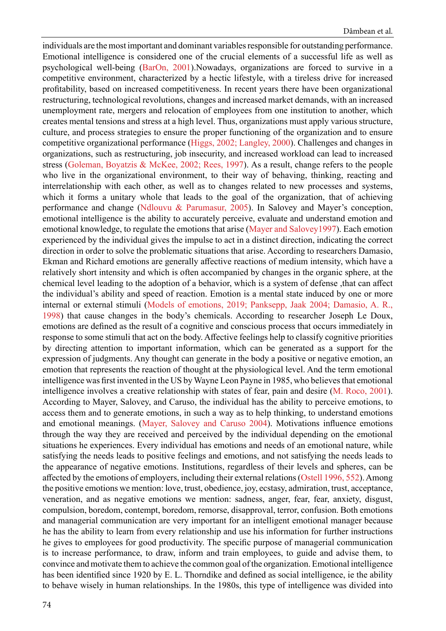individuals are the most important and dominant variables responsible for outstanding performance. Emotional intelligence is considered one of the crucial elements of a successful life as well as psychological well-being [\(BarOn, 2001\)](#page-14-0).Nowadays, organizations are forced to survive in a competitive environment, characterized by a hectic lifestyle, with a tireless drive for increased profitability, based on increased competitiveness. In recent years there have been organizational restructuring, technological revolutions, changes and increased market demands, with an increased unemployment rate, mergers and relocation of employees from one institution to another, which creates mental tensions and stress at a high level. Thus, organizations must apply various structure, culture, and process strategies to ensure the proper functioning of the organization and to ensure competitive organizational performance ([Higgs, 2002; Langley, 2000](#page-14-0)). Challenges and changes in organizations, such as restructuring, job insecurity, and increased workload can lead to increased stress ([Goleman, Boyatzis & McKee, 2002; Rees, 1997](#page-14-0)). As a result, change refers to the people who live in the organizational environment, to their way of behaving, thinking, reacting and interrelationship with each other, as well as to changes related to new processes and systems, which it forms a unitary whole that leads to the goal of the organization, that of achieving performance and change ([Ndlouvu & Parumasur, 2005](#page-15-0)). In Salovey and Mayer's conception, emotional intelligence is the ability to accurately perceive, evaluate and understand emotion and emotional knowledge, to regulate the emotions that arise [\(Mayer and Salovey1997](#page-15-0)). Each emotion experienced by the individual gives the impulse to act in a distinct direction, indicating the correct direction in order to solve the problematic situations that arise. According to researchers Damasio, Ekman and Richard emotions are generally affective reactions of medium intensity, which have a relatively short intensity and which is often accompanied by changes in the organic sphere, at the chemical level leading to the adoption of a behavior, which is a system of defense ,that can affect the individual's ability and speed of reaction. Emotion is a mental state induced by one or more internal or external stimuli ([Models of emotions, 2019;](#page-15-0) [Panksepp, Jaak 2004;](#page-15-0) [Damasio, A. R.,](#page-14-0) [1998\)](#page-14-0) that cause changes in the body's chemicals. According to researcher Joseph Le Doux, emotions are defined as the result of a cognitive and conscious process that occurs immediately in response to some stimuli that act on the body. Affective feelings help to classify cognitive priorities by directing attention to important information, which can be generated as a support for the expression of judgments. Any thought can generate in the body a positive or negative emotion, an emotion that represents the reaction of thought at the physiological level. And the term emotional intelligence was first invented in the US by Wayne Leon Payne in 1985, who believes that emotional intelligence involves a creative relationship with states of fear, pain and desire ([M. Roco, 2001](#page-15-0)). According to Mayer, Salovey, and Caruso, the individual has the ability to perceive emotions, to access them and to generate emotions, in such a way as to help thinking, to understand emotions and emotional meanings. ([Mayer, Salovey and Caruso 2004\)](#page-15-0). Motivations influence emotions through the way they are received and perceived by the individual depending on the emotional situations he experiences. Every individual has emotions and needs of an emotional nature, while satisfying the needs leads to positive feelings and emotions, and not satisfying the needs leads to the appearance of negative emotions. Institutions, regardless of their levels and spheres, can be affected by the emotions of employers, including their external relations ([Ostell 1996, 552](#page-15-0)). Among the positive emotions we mention: love, trust, obedience, joy, ecstasy, admiration, trust, acceptance, veneration, and as negative emotions we mention: sadness, anger, fear, fear, anxiety, disgust, compulsion, boredom, contempt, boredom, remorse, disapproval, terror, confusion. Both emotions and managerial communication are very important for an intelligent emotional manager because he has the ability to learn from every relationship and use his information for further instructions he gives to employees for good productivity. The specific purpose of managerial communication is to increase performance, to draw, inform and train employees, to guide and advise them, to convince and motivate them to achieve the common goal of the organization. Emotional intelligence has been identified since 1920 by E. L. Thorndike and defined as social intelligence, ie the ability to behave wisely in human relationships. In the 1980s, this type of intelligence was divided into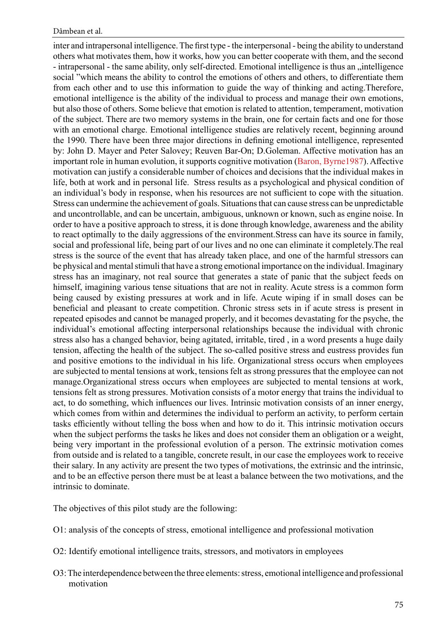inter and intrapersonal intelligence. The first type - the interpersonal - being the ability to understand others what motivates them, how it works, how you can better cooperate with them, and the second - intrapersonal - the same ability, only self-directed. Emotional intelligence is thus an "intelligence social "which means the ability to control the emotions of others and others, to differentiate them from each other and to use this information to guide the way of thinking and acting.Therefore, emotional intelligence is the ability of the individual to process and manage their own emotions, but also those of others. Some believe that emotion is related to attention, temperament, motivation of the subject. There are two memory systems in the brain, one for certain facts and one for those with an emotional charge. Emotional intelligence studies are relatively recent, beginning around the 1990. There have been three major directions in defining emotional intelligence, represented by: John D. Mayer and Peter Salovey; Reuven Bar-On; D.Goleman. Affective motivation has an important role in human evolution, it supports cognitive motivation [\(Baron, Byrne1987](#page-14-0)). Affective motivation can justify a considerable number of choices and decisions that the individual makes in life, both at work and in personal life. Stress results as a psychological and physical condition of an individual's body in response, when his resources are not sufficient to cope with the situation. Stress can undermine the achievement of goals. Situations that can cause stress can be unpredictable and uncontrollable, and can be uncertain, ambiguous, unknown or known, such as engine noise. In order to have a positive approach to stress, it is done through knowledge, awareness and the ability to react optimally to the daily aggressions of the environment.Stress can have its source in family, social and professional life, being part of our lives and no one can eliminate it completely.The real stress is the source of the event that has already taken place, and one of the harmful stressors can be physical and mental stimuli that have a strong emotional importance on the individual. Imaginary stress has an imaginary, not real source that generates a state of panic that the subject feeds on himself, imagining various tense situations that are not in reality. Acute stress is a common form being caused by existing pressures at work and in life. Acute wiping if in small doses can be beneficial and pleasant to create competition. Chronic stress sets in if acute stress is present in repeated episodes and cannot be managed properly, and it becomes devastating for the psyche, the individual's emotional affecting interpersonal relationships because the individual with chronic stress also has a changed behavior, being agitated, irritable, tired , in a word presents a huge daily tension, affecting the health of the subject. The so-called positive stress and eustress provides fun and positive emotions to the individual in his life. Organizational stress occurs when employees are subjected to mental tensions at work, tensions felt as strong pressures that the employee can not manage.Organizational stress occurs when employees are subjected to mental tensions at work, tensions felt as strong pressures. Motivation consists of a motor energy that trains the individual to act, to do something, which influences our lives. Intrinsic motivation consists of an inner energy, which comes from within and determines the individual to perform an activity, to perform certain tasks efficiently without telling the boss when and how to do it. This intrinsic motivation occurs when the subject performs the tasks he likes and does not consider them an obligation or a weight, being very important in the professional evolution of a person. The extrinsic motivation comes from outside and is related to a tangible, concrete result, in our case the employees work to receive their salary. In any activity are present the two types of motivations, the extrinsic and the intrinsic, and to be an effective person there must be at least a balance between the two motivations, and the intrinsic to dominate.

The objectives of this pilot study are the following:

- O1: analysis of the concepts of stress, emotional intelligence and professional motivation
- O2: Identify emotional intelligence traits, stressors, and motivators in employees
- O3: The interdependence between the three elements: stress, emotional intelligence and professional motivation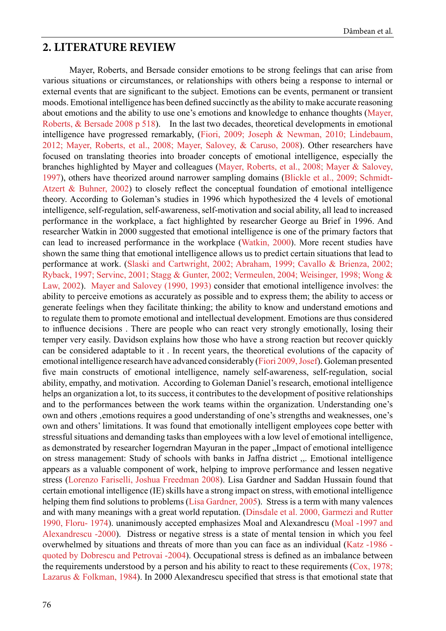#### **2. LITERATURE REVIEW**

Mayer, Roberts, and Bersade consider emotions to be strong feelings that can arise from various situations or circumstances, or relationships with others being a response to internal or external events that are significant to the subject. Emotions can be events, permanent or transient moods. Emotional intelligence has been defined succinctly as the ability to make accurate reasoning about emotions and the ability to use one's emotions and knowledge to enhance thoughts ([Mayer,](#page-15-0) [Roberts, & Bersade 2008 p 518\)](#page-15-0). In the last two decades, theoretical developments in emotional intelligence have progressed remarkably, ([Fiori, 2009;](#page-14-0) [Joseph & Newman, 2010;](#page-14-0) [Lindebaum,](#page-15-0) [2012;](#page-15-0) [Mayer, Roberts, et al., 2008;](#page-15-0) [Mayer, Salovey, & Caruso, 2008\)](#page-15-0). Other researchers have focused on translating theories into broader concepts of emotional intelligence, especially the branches highlighted by Mayer and colleagues ([Mayer, Roberts, et al., 2008;](#page-15-0) [Mayer & Salovey,](#page-15-0) [1997\)](#page-15-0), others have theorized around narrower sampling domains ([Blickle et al., 2009;](#page-14-0) [Schmidt-](#page-15-0)[Atzert & Buhner, 2002](#page-15-0)) to closely reflect the conceptual foundation of emotional intelligence theory. According to Goleman's studies in 1996 which hypothesized the 4 levels of emotional intelligence, self-regulation, self-awareness, self-motivation and social ability, all lead to increased performance in the workplace, a fact highlighted by researcher George au Brief in 1996. And researcher Watkin in 2000 suggested that emotional intelligence is one of the primary factors that can lead to increased performance in the workplace [\(Watkin, 2000](#page-14-0)). More recent studies have shown the same thing that emotional intelligence allows us to predict certain situations that lead to performance at work. ([Slaski and Cartwright, 2002;](#page-15-0) [Abraham, 1999;](#page-14-0) [Cavallo & Brienza, 2002;](#page-14-0) [Ryback, 1997;](#page-15-0) [Servinc, 2001;](#page-15-0) [Stagg & Gunter, 2002;](#page-15-0) [Vermeulen, 2004;](#page-15-0) [Weisinger, 1998;](#page-15-0) [Wong &](#page-15-0) [Law, 2002](#page-15-0)). [Mayer and Salovey \(1990, 1993\)](#page-15-0) consider that emotional intelligence involves: the ability to perceive emotions as accurately as possible and to express them; the ability to access or generate feelings when they facilitate thinking; the ability to know and understand emotions and to regulate them to promote emotional and intellectual development. Emotions are thus considered to influence decisions . There are people who can react very strongly emotionally, losing their temper very easily. Davidson explains how those who have a strong reaction but recover quickly can be considered adaptable to it . In recent years, the theoretical evolutions of the capacity of emotional intelligence research have advanced considerably [\(Fiori 2009, Josef](#page-14-0)). Goleman presented five main constructs of emotional intelligence, namely self-awareness, self-regulation, social ability, empathy, and motivation. According to Goleman Daniel's research, emotional intelligence helps an organization a lot, to its success, it contributes to the development of positive relationships and to the performances between the work teams within the organization. Understanding one's own and others , emotions requires a good understanding of one's strengths and weaknesses, one's own and others' limitations. It was found that emotionally intelligent employees cope better with stressful situations and demanding tasks than employees with a low level of emotional intelligence, as demonstrated by researcher Iogerndran Mayuran in the paper "Impact of emotional intelligence on stress management: Study of schools with banks in Jaffna district ,,. Emotional intelligence appears as a valuable component of work, helping to improve performance and lessen negative stress ([Lorenzo Fariselli, Joshua Freedman 2008](#page-15-0)). Lisa Gardner and Saddan Hussain found that certain emotional intelligence (IE) skills have a strong impact on stress, with emotional intelligence helping them find solutions to problems [\(Lisa Gardner, 2005\)](#page-15-0). Stress is a term with many valences and with many meanings with a great world reputation. [\(Dinsdale et al. 2000,](#page-14-0) [Garmezi and Rutter](#page-14-0) [1990,](#page-14-0) [Floru- 1974\)](#page-14-0). unanimously accepted emphasizes Moal and Alexandrescu ([Moal -1997 and](#page-15-0) [Alexandrescu -2000\)](#page-15-0). Distress or negative stress is a state of mental tension in which you feel overwhelmed by situations and threats of more than you can face as an individual ([Katz -1986](#page-14-0)  [quoted by Dobrescu and Petrovai -2004](#page-14-0)). Occupational stress is defined as an imbalance between the requirements understood by a person and his ability to react to these requirements [\(Cox, 1978;](#page-14-0) [Lazarus & Folkman, 1984\)](#page-14-0). In 2000 Alexandrescu specified that stress is that emotional state that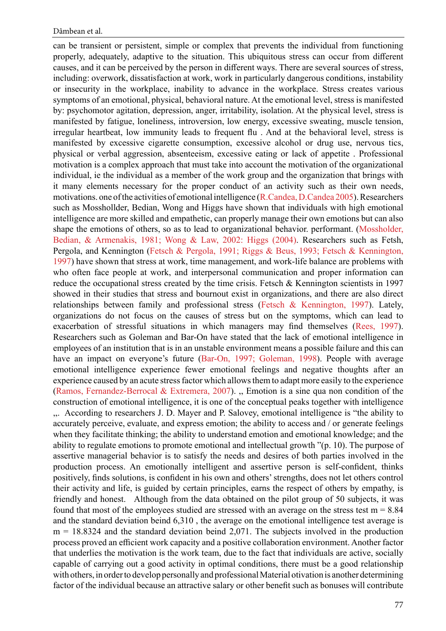can be transient or persistent, simple or complex that prevents the individual from functioning properly, adequately, adaptive to the situation. This ubiquitous stress can occur from different causes, and it can be perceived by the person in different ways. There are several sources of stress, including: overwork, dissatisfaction at work, work in particularly dangerous conditions, instability or insecurity in the workplace, inability to advance in the workplace. Stress creates various symptoms of an emotional, physical, behavioral nature. At the emotional level, stress is manifested by: psychomotor agitation, depression, anger, irritability, isolation. At the physical level, stress is manifested by fatigue, loneliness, introversion, low energy, excessive sweating, muscle tension, irregular heartbeat, low immunity leads to frequent flu . And at the behavioral level, stress is manifested by excessive cigarette consumption, excessive alcohol or drug use, nervous tics, physical or verbal aggression, absenteeism, excessive eating or lack of appetite . Professional motivation is a complex approach that must take into account the motivation of the organizational individual, ie the individual as a member of the work group and the organization that brings with it many elements necessary for the proper conduct of an activity such as their own needs, motivations. one of the activities of emotional intelligence [\(R.Candea, D.Candea 2005](#page-15-0)). Researchers such as Mosshollder, Bedian, Wong and Higgs have shown that individuals with high emotional intelligence are more skilled and empathetic, can properly manage their own emotions but can also shape the emotions of others, so as to lead to organizational behavior. performant. [\(Mossholder,](#page-15-0)  [Bedian, & Armenakis, 1981;](#page-15-0) [Wong & Law, 2002: Higgs \(2004\).](#page-15-0) Researchers such as Fetsh, Pergola, and Kennington [\(Fetsch & Pergola, 1991;](#page-14-0) [Riggs & Beus, 1993;](#page-15-0) [Fetsch & Kennington,](#page-14-0)  [1997\)](#page-14-0) have shown that stress at work, time management, and work-life balance are problems with who often face people at work, and interpersonal communication and proper information can reduce the occupational stress created by the time crisis. Fetsch & Kennington scientists in 1997 showed in their studies that stress and bournout exist in organizations, and there are also direct relationships between family and professional stress ([Fetsch & Kennington, 1997](#page-14-0)). Lately, organizations do not focus on the causes of stress but on the symptoms, which can lead to exacerbation of stressful situations in which managers may find themselves ([Rees, 1997](#page-15-0)). Researchers such as Goleman and Bar-On have stated that the lack of emotional intelligence in employees of an institution that is in an unstable environment means a possible failure and this can have an impact on everyone's future ([Bar-On, 1997;](#page-14-0) [Goleman, 1998](#page-14-0)). People with average emotional intelligence experience fewer emotional feelings and negative thoughts after an experience caused by an acute stress factor which allows them to adapt more easily to the experience ([Ramos, Fernandez-Berrocal & Extremera, 2007](#page-15-0)). ,, Emotion is a sine qua non condition of the construction of emotional intelligence, it is one of the conceptual peaks together with intelligence ,,. According to researchers J. D. Mayer and P. Salovey, emotional intelligence is "the ability to accurately perceive, evaluate, and express emotion; the ability to access and / or generate feelings when they facilitate thinking; the ability to understand emotion and emotional knowledge; and the ability to regulate emotions to promote emotional and intellectual growth "(p. 10). The purpose of assertive managerial behavior is to satisfy the needs and desires of both parties involved in the production process. An emotionally intelligent and assertive person is self-confident, thinks positively, finds solutions, is confident in his own and others' strengths, does not let others control their activity and life, is guided by certain principles, earns the respect of others by empathy, is friendly and honest. Although from the data obtained on the pilot group of 50 subjects, it was found that most of the employees studied are stressed with an average on the stress test  $m = 8.84$ and the standard deviation beind 6,310 , the average on the emotional intelligence test average is  $m = 18.8324$  and the standard deviation beind 2,071. The subjects involved in the production process proved an efficient work capacity and a positive collaboration environment. Another factor that underlies the motivation is the work team, due to the fact that individuals are active, socially capable of carrying out a good activity in optimal conditions, there must be a good relationship with others, in order to develop personally and professional Material otivation is another determining factor of the individual because an attractive salary or other benefit such as bonuses will contribute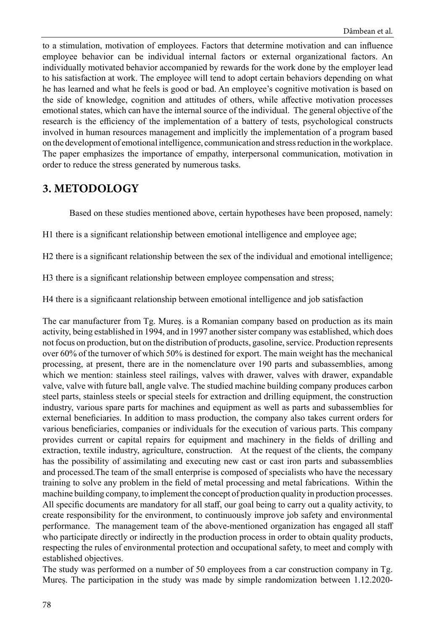to a stimulation, motivation of employees. Factors that determine motivation and can influence employee behavior can be individual internal factors or external organizational factors. An individually motivated behavior accompanied by rewards for the work done by the employer lead to his satisfaction at work. The employee will tend to adopt certain behaviors depending on what he has learned and what he feels is good or bad. An employee's cognitive motivation is based on the side of knowledge, cognition and attitudes of others, while affective motivation processes emotional states, which can have the internal source of the individual. The general objective of the research is the efficiency of the implementation of a battery of tests, psychological constructs involved in human resources management and implicitly the implementation of a program based on the development of emotional intelligence, communication and stress reduction in the workplace. The paper emphasizes the importance of empathy, interpersonal communication, motivation in order to reduce the stress generated by numerous tasks.

## **3. METODOLOGY**

Based on these studies mentioned above, certain hypotheses have been proposed, namely:

H1 there is a significant relationship between emotional intelligence and employee age;

H2 there is a significant relationship between the sex of the individual and emotional intelligence;

H3 there is a significant relationship between employee compensation and stress;

H4 there is a significaant relationship between emotional intelligence and job satisfaction

The car manufacturer from Tg. Mureș. is a Romanian company based on production as its main activity, being established in 1994, and in 1997 another sister company was established, which does not focus on production, but on the distribution of products, gasoline, service. Production represents over 60% of the turnover of which 50% is destined for export. The main weight has the mechanical processing, at present, there are in the nomenclature over 190 parts and subassemblies, among which we mention: stainless steel railings, valves with drawer, valves with drawer, expandable valve, valve with future ball, angle valve. The studied machine building company produces carbon steel parts, stainless steels or special steels for extraction and drilling equipment, the construction industry, various spare parts for machines and equipment as well as parts and subassemblies for external beneficiaries. In addition to mass production, the company also takes current orders for various beneficiaries, companies or individuals for the execution of various parts. This company provides current or capital repairs for equipment and machinery in the fields of drilling and extraction, textile industry, agriculture, construction. At the request of the clients, the company has the possibility of assimilating and executing new cast or cast iron parts and subassemblies and processed.The team of the small enterprise is composed of specialists who have the necessary training to solve any problem in the field of metal processing and metal fabrications. Within the machine building company, to implement the concept of production quality in production processes. All specific documents are mandatory for all staff, our goal being to carry out a quality activity, to create responsibility for the environment, to continuously improve job safety and environmental performance. The management team of the above-mentioned organization has engaged all staff who participate directly or indirectly in the production process in order to obtain quality products, respecting the rules of environmental protection and occupational safety, to meet and comply with established objectives.

The study was performed on a number of 50 employees from a car construction company in Tg. Mureș. The participation in the study was made by simple randomization between 1.12.2020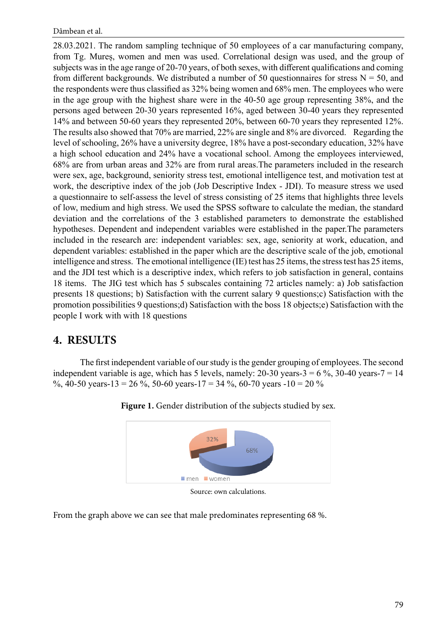28.03.2021. The random sampling technique of 50 employees of a car manufacturing company, from Tg. Mureș, women and men was used. Correlational design was used, and the group of subjects was in the age range of 20-70 years, of both sexes, with different qualifications and coming from different backgrounds. We distributed a number of 50 questionnaires for stress  $N = 50$ , and the respondents were thus classified as 32% being women and 68% men. The employees who were in the age group with the highest share were in the 40-50 age group representing 38%, and the persons aged between 20-30 years represented 16%, aged between 30-40 years they represented 14% and between 50-60 years they represented 20%, between 60-70 years they represented 12%. The results also showed that 70% are married, 22% are single and 8% are divorced. Regarding the level of schooling, 26% have a university degree, 18% have a post-secondary education, 32% have a high school education and 24% have a vocational school. Among the employees interviewed, 68% are from urban areas and 32% are from rural areas.The parameters included in the research were sex, age, background, seniority stress test, emotional intelligence test, and motivation test at work, the descriptive index of the job (Job Descriptive Index - JDI). To measure stress we used a questionnaire to self-assess the level of stress consisting of 25 items that highlights three levels of low, medium and high stress. We used the SPSS software to calculate the median, the standard deviation and the correlations of the 3 established parameters to demonstrate the established hypotheses. Dependent and independent variables were established in the paper.The parameters included in the research are: independent variables: sex, age, seniority at work, education, and dependent variables: established in the paper which are the descriptive scale of the job, emotional intelligence and stress. The emotional intelligence (IE) test has 25 items, the stress test has 25 items, and the JDI test which is a descriptive index, which refers to job satisfaction in general, contains 18 items. The JIG test which has 5 subscales containing 72 articles namely: a) Job satisfaction presents 18 questions; b) Satisfaction with the current salary 9 questions;c) Satisfaction with the promotion possibilities 9 questions;d) Satisfaction with the boss 18 objects;e) Satisfaction with the people I work with with 18 questions

### **4. RESULTS**

The first independent variable of our study is the gender grouping of employees. The second independent variable is age, which has 5 levels, namely:  $20-30$  years- $3 = 6\%$ ,  $30-40$  years- $7 = 14$ %, 40-50 years-13 = 26 %, 50-60 years-17 = 34 %, 60-70 years -10 = 20 %



Figure 1. Gender distribution of the subjects studied by sex.

Source: own calculations.

From the graph above we can see that male predominates representing 68 %.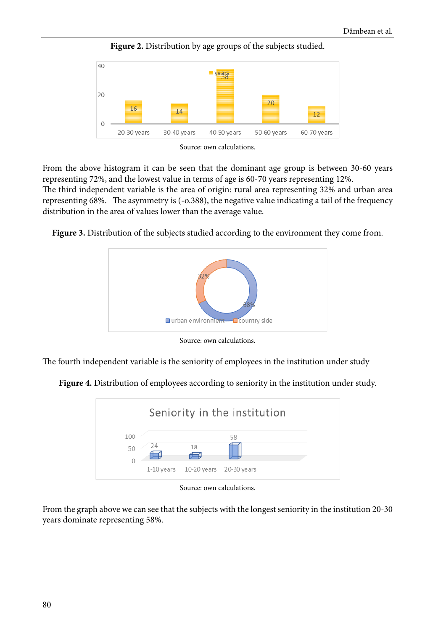

Figure 2. Distribution by age groups of the subjects studied.

From the above histogram it can be seen that the dominant age group is between 30-60 years representing 72%, and the lowest value in terms of age is 60-70 years representing 12%.

The third independent variable is the area of origin: rural area representing 32% and urban area representing 68%. The asymmetry is (-o.388), the negative value indicating a tail of the frequency distribution in the area of values lower than the average value.

**Figure 3.** Distribution of the subjects studied according to the environment they come from.



Source: own calculations.

The fourth independent variable is the seniority of employees in the institution under study

**Figure 4.** Distribution of employees according to seniority in the institution under study.



Source: own calculations.

From the graph above we can see that the subjects with the longest seniority in the institution 20-30 years dominate representing 58%.

Source: own calculations.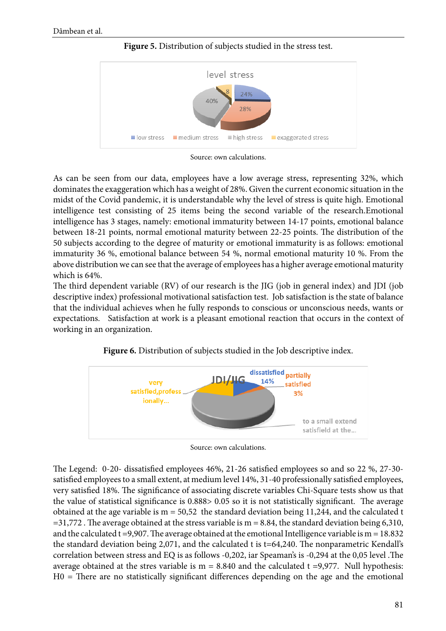

**Figure 5.** Distribution of subjects studied in the stress test.



As can be seen from our data, employees have a low average stress, representing 32%, which dominates the exaggeration which has a weight of 28%. Given the current economic situation in the midst of the Covid pandemic, it is understandable why the level of stress is quite high. Emotional intelligence test consisting of 25 items being the second variable of the research.Emotional intelligence has 3 stages, namely: emotional immaturity between 14-17 points, emotional balance between 18-21 points, normal emotional maturity between 22-25 points. The distribution of the 50 subjects according to the degree of maturity or emotional immaturity is as follows: emotional immaturity 36 %, emotional balance between 54 %, normal emotional maturity 10 %. From the above distribution we can see that the average of employees has a higher average emotional maturity which is 64%.

The third dependent variable (RV) of our research is the JIG (job in general index) and JDI (job descriptive index) professional motivational satisfaction test. Job satisfaction is the state of balance that the individual achieves when he fully responds to conscious or unconscious needs, wants or expectations. Satisfaction at work is a pleasant emotional reaction that occurs in the context of working in an organization.



**Figure 6.** Distribution of subjects studied in the Job descriptive index.

The Legend: 0-20- dissatisfied employees 46%, 21-26 satisfied employees so and so 22 %, 27-30 satisfied employees to a small extent, at medium level 14%, 31-40 professionally satisfied employees, very satisfied 18%. The significance of associating discrete variables Chi-Square tests show us that the value of statistical significance is 0.888> 0.05 so it is not statistically significant. The average obtained at the age variable is  $m = 50,52$  the standard deviation being 11,244, and the calculated t  $=$  31,772. The average obtained at the stress variable is m = 8.84, the standard deviation being 6,310, and the calculated  $t = 9,907$ . The average obtained at the emotional Intelligence variable is m = 18.832 the standard deviation being 2,071, and the calculated t is t=64,240. The nonparametric Kendall's correlation between stress and EQ is as follows -0,202, iar Speaman's is -0,294 at the 0,05 level .The average obtained at the stres variable is  $m = 8.840$  and the calculated t =9,977. Null hypothesis: H0 = There are no statistically significant differences depending on the age and the emotional

Source: own calculations.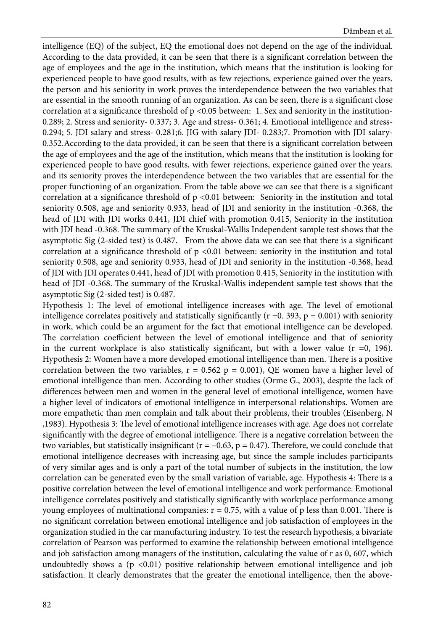intelligence (EQ) of the subject, EQ the emotional does not depend on the age of the individual. According to the data provided, it can be seen that there is a significant correlation between the age of employees and the age in the institution, which means that the institution is looking for experienced people to have good results, with as few rejections, experience gained over the years. the person and his seniority in work proves the interdependence between the two variables that are essential in the smooth running of an organization. As can be seen, there is a significant close correlation at a significance threshold of  $p < 0.05$  between: 1. Sex and seniority in the institution-0.289; 2. Stress and seniority- 0.337; 3. Age and stress- 0.361; 4. Emotional intelligence and stress-0.294; 5. JDI salary and stress- 0.281;6. JIG with salary JDI- 0.283;7. Promotion with JDI salary-0.352.According to the data provided, it can be seen that there is a significant correlation between the age of employees and the age of the institution, which means that the institution is looking for experienced people to have good results, with fewer rejections, experience gained over the years. and its seniority proves the interdependence between the two variables that are essential for the proper functioning of an organization. From the table above we can see that there is a significant correlation at a significance threshold of  $p \le 0.01$  between: Seniority in the institution and total seniority 0.508, age and seniority 0.933, head of JDI and seniority in the institution -0.368, the head of JDI with JDI works 0.441, JDI chief with promotion 0.415, Seniority in the institution with JDI head -0.368. The summary of the Kruskal-Wallis Independent sample test shows that the asymptotic Sig (2-sided test) is 0.487. From the above data we can see that there is a significant correlation at a significance threshold of  $p < 0.01$  between: seniority in the institution and total seniority 0.508, age and seniority 0.933, head of JDI and seniority in the institution -0.368, head of JDI with JDI operates 0.441, head of JDI with promotion 0.415, Seniority in the institution with head of JDI -0.368. The summary of the Kruskal-Wallis independent sample test shows that the asymptotic Sig (2-sided test) is 0.487.

Hypothesis 1: The level of emotional intelligence increases with age. The level of emotional intelligence correlates positively and statistically significantly ( $r = 0.393$ ,  $p = 0.001$ ) with seniority in work, which could be an argument for the fact that emotional intelligence can be developed. The correlation coefficient between the level of emotional intelligence and that of seniority in the current workplace is also statistically significant, but with a lower value  $(r = 0, 196)$ . Hypothesis 2: Women have a more developed emotional intelligence than men. There is a positive correlation between the two variables,  $r = 0.562$  p = 0.001), QE women have a higher level of emotional intelligence than men. According to other studies (Orme G., 2003), despite the lack of differences between men and women in the general level of emotional intelligence, women have a higher level of indicators of emotional intelligence in interpersonal relationships. Women are more empathetic than men complain and talk about their problems, their troubles (Eisenberg, N ,1983). Hypothesis 3: The level of emotional intelligence increases with age. Age does not correlate significantly with the degree of emotional intelligence. There is a negative correlation between the two variables, but statistically insignificant ( $r = -0.63$ ,  $p = 0.47$ ). Therefore, we could conclude that emotional intelligence decreases with increasing age, but since the sample includes participants of very similar ages and is only a part of the total number of subjects in the institution, the low correlation can be generated even by the small variation of variable, age. Hypothesis 4: There is a positive correlation between the level of emotional intelligence and work performance. Emotional intelligence correlates positively and statistically significantly with workplace performance among young employees of multinational companies:  $r = 0.75$ , with a value of p less than 0.001. There is no significant correlation between emotional intelligence and job satisfaction of employees in the organization studied in the car manufacturing industry. To test the research hypothesis, a bivariate correlation of Pearson was performed to examine the relationship between emotional intelligence and job satisfaction among managers of the institution, calculating the value of r as 0, 607, which undoubtedly shows a  $(p \le 0.01)$  positive relationship between emotional intelligence and job satisfaction. It clearly demonstrates that the greater the emotional intelligence, then the above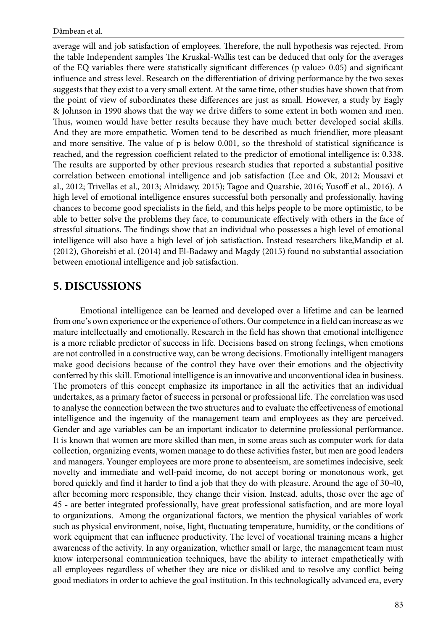average will and job satisfaction of employees. Therefore, the null hypothesis was rejected. From the table Independent samples The Kruskal-Wallis test can be deduced that only for the averages of the EQ variables there were statistically significant differences (p value> 0.05) and significant influence and stress level. Research on the differentiation of driving performance by the two sexes suggests that they exist to a very small extent. At the same time, other studies have shown that from the point of view of subordinates these differences are just as small. However, a study by Eagly & Johnson in 1990 shows that the way we drive differs to some extent in both women and men. Thus, women would have better results because they have much better developed social skills. And they are more empathetic. Women tend to be described as much friendlier, more pleasant and more sensitive. The value of p is below 0.001, so the threshold of statistical significance is reached, and the regression coefficient related to the predictor of emotional intelligence is: 0.338. The results are supported by other previous research studies that reported a substantial positive correlation between emotional intelligence and job satisfaction (Lee and Ok, 2012; Mousavi et al., 2012; Trivellas et al., 2013; Alnidawy, 2015); Tagoe and Quarshie, 2016; Yusoff et al., 2016). A high level of emotional intelligence ensures successful both personally and professionally. having chances to become good specialists in the field, and this helps people to be more optimistic, to be able to better solve the problems they face, to communicate effectively with others in the face of stressful situations. The findings show that an individual who possesses a high level of emotional intelligence will also have a high level of job satisfaction. Instead researchers like,Mandip et al. (2012), Ghoreishi et al. (2014) and El-Badawy and Magdy (2015) found no substantial association between emotional intelligence and job satisfaction.

## **5. DISCUSSIONS**

Emotional intelligence can be learned and developed over a lifetime and can be learned from one's own experience or the experience of others. Our competence in a field can increase as we mature intellectually and emotionally. Research in the field has shown that emotional intelligence is a more reliable predictor of success in life. Decisions based on strong feelings, when emotions are not controlled in a constructive way, can be wrong decisions. Emotionally intelligent managers make good decisions because of the control they have over their emotions and the objectivity conferred by this skill. Emotional intelligence is an innovative and unconventional idea in business. The promoters of this concept emphasize its importance in all the activities that an individual undertakes, as a primary factor of success in personal or professional life. The correlation was used to analyse the connection between the two structures and to evaluate the effectiveness of emotional intelligence and the ingenuity of the management team and employees as they are perceived. Gender and age variables can be an important indicator to determine professional performance. It is known that women are more skilled than men, in some areas such as computer work for data collection, organizing events, women manage to do these activities faster, but men are good leaders and managers. Younger employees are more prone to absenteeism, are sometimes indecisive, seek novelty and immediate and well-paid income, do not accept boring or monotonous work, get bored quickly and find it harder to find a job that they do with pleasure. Around the age of 30-40, after becoming more responsible, they change their vision. Instead, adults, those over the age of 45 - are better integrated professionally, have great professional satisfaction, and are more loyal to organizations. Among the organizational factors, we mention the physical variables of work such as physical environment, noise, light, fluctuating temperature, humidity, or the conditions of work equipment that can influence productivity. The level of vocational training means a higher awareness of the activity. In any organization, whether small or large, the management team must know interpersonal communication techniques, have the ability to interact empathetically with all employees regardless of whether they are nice or disliked and to resolve any conflict being good mediators in order to achieve the goal institution. In this technologically advanced era, every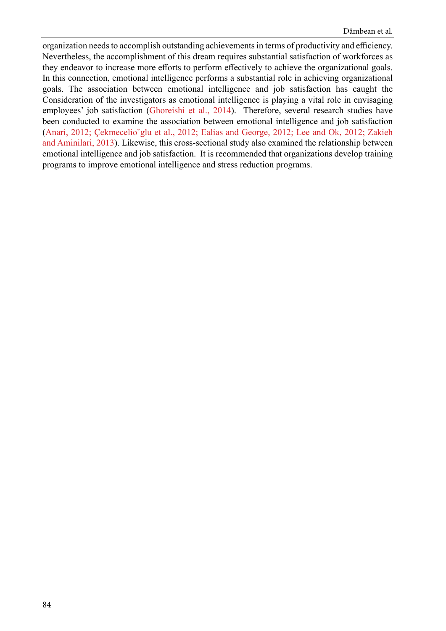organization needs to accomplish outstanding achievements in terms of productivity and efficiency. Nevertheless, the accomplishment of this dream requires substantial satisfaction of workforces as they endeavor to increase more efforts to perform effectively to achieve the organizational goals. In this connection, emotional intelligence performs a substantial role in achieving organizational goals. The association between emotional intelligence and job satisfaction has caught the Consideration of the investigators as emotional intelligence is playing a vital role in envisaging employees' job satisfaction ([Ghoreishi et al., 2014\)](#page-14-0). Therefore, several research studies have been conducted to examine the association between emotional intelligence and job satisfaction ([Anari, 2012;](#page-14-0) [Çekmecelio˘glu et al., 2012;](#page-14-0) [Ealias and George, 2012;](#page-14-0) [Lee and Ok, 2012;](#page-15-0) [Zakieh](#page-15-0) [and Aminilari, 2013\)](#page-15-0). Likewise, this cross-sectional study also examined the relationship between emotional intelligence and job satisfaction. It is recommended that organizations develop training programs to improve emotional intelligence and stress reduction programs.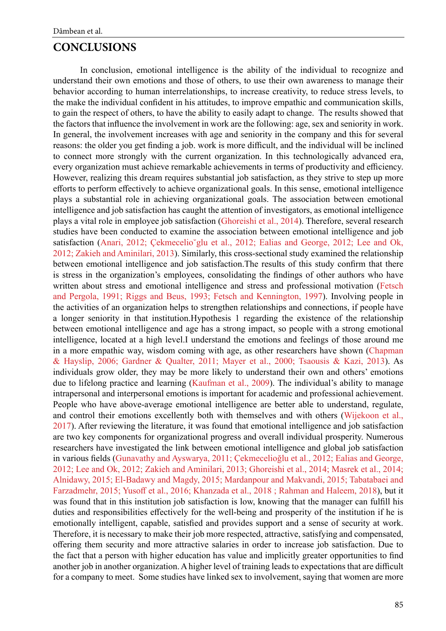#### **CONCLUSIONS**

In conclusion, emotional intelligence is the ability of the individual to recognize and understand their own emotions and those of others, to use their own awareness to manage their behavior according to human interrelationships, to increase creativity, to reduce stress levels, to the make the individual confident in his attitudes, to improve empathic and communication skills, to gain the respect of others, to have the ability to easily adapt to change. The results showed that the factors that influence the involvement in work are the following: age, sex and seniority in work. In general, the involvement increases with age and seniority in the company and this for several reasons: the older you get finding a job. work is more difficult, and the individual will be inclined to connect more strongly with the current organization. In this technologically advanced era, every organization must achieve remarkable achievements in terms of productivity and efficiency. However, realizing this dream requires substantial job satisfaction, as they strive to step up more efforts to perform effectively to achieve organizational goals. In this sense, emotional intelligence plays a substantial role in achieving organizational goals. The association between emotional intelligence and job satisfaction has caught the attention of investigators, as emotional intelligence plays a vital role in employee job satisfaction [\(Ghoreishi et al., 2014\)](#page-14-0). Therefore, several research studies have been conducted to examine the association between emotional intelligence and job satisfaction ([Anari, 2012;](#page-14-0) Çekmecelio *glu et al., 2012; [Ealias and George, 2012;](#page-14-0) Lee and Ok,* [2012;](#page-15-0) [Zakieh and Aminilari, 2013\)](#page-15-0). Similarly, this cross-sectional study examined the relationship between emotional intelligence and job satisfaction.The results of this study confirm that there is stress in the organization's employees, consolidating the findings of other authors who have written about stress and emotional intelligence and stress and professional motivation (Fetsch [and Pergola, 1991;](#page-14-0) [Riggs and Beus, 1993;](#page-15-0) [Fetsch and Kennington, 1997\)](#page-14-0). Involving people in the activities of an organization helps to strengthen relationships and connections, if people have a longer seniority in that institution.Hypothesis 1 regarding the existence of the relationship between emotional intelligence and age has a strong impact, so people with a strong emotional intelligence, located at a high level.I understand the emotions and feelings of those around me in a more empathic way, wisdom coming with age, as other researchers have shown ([Chapman](#page-14-0)  [& Hayslip, 2006;](#page-14-0) [Gardner & Qualter, 2011;](#page-14-0) [Mayer et al., 2000;](#page-15-0) [Tsaousis & Kazi, 2013](#page-15-0)). As individuals grow older, they may be more likely to understand their own and others' emotions due to lifelong practice and learning ([Kaufman et al., 2009\)](#page-15-0). The individual's ability to manage intrapersonal and interpersonal emotions is important for academic and professional achievement. People who have above-average emotional intelligence are better able to understand, regulate, and control their emotions excellently both with themselves and with others (Wijekoon et al., [2017\)](#page-15-0). After reviewing the literature, it was found that emotional intelligence and job satisfaction are two key components for organizational progress and overall individual prosperity. Numerous researchers have investigated the link between emotional intelligence and global job satisfaction in various fields [\(Gunavathy and Ayswarya, 2011;](#page-14-0) [Çekmecelioğlu et al., 2012;](#page-14-0) [Ealias and George,](#page-14-0)  [2012;](#page-14-0) [Lee and Ok, 2012;](#page-15-0) [Zakieh and Aminilari, 2013;](#page-15-0) [Ghoreishi et al., 2014;](#page-14-0) [Masrek et al., 2014;](#page-15-0)  [Alnidawy, 2015;](#page-14-0) [El-Badawy and Magdy, 2015;](#page-14-0) [Mardanpour and Makvandi, 2015;](#page-15-0) [Tabatabaei and](#page-15-0)  [Farzadmehr, 2015;](#page-15-0) [Yusoff et al., 2016;](#page-15-0) [Khanzada et al., 2018 ;](#page-15-0) [Rahman and Haleem, 2018](#page-15-0)), but it was found that in this institution job satisfaction is low, knowing that the manager can fulfill his duties and responsibilities effectively for the well-being and prosperity of the institution if he is emotionally intelligent, capable, satisfied and provides support and a sense of security at work. Therefore, it is necessary to make their job more respected, attractive, satisfying and compensated, offering them security and more attractive salaries in order to increase job satisfaction. Due to the fact that a person with higher education has value and implicitly greater opportunities to find another job in another organization. A higher level of training leads to expectations that are difficult for a company to meet. Some studies have linked sex to involvement, saying that women are more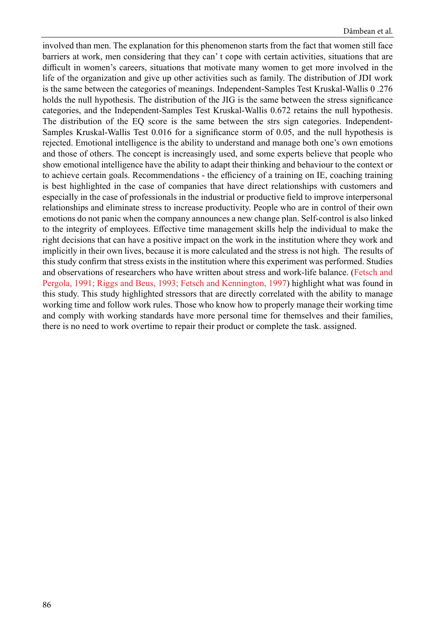involved than men. The explanation for this phenomenon starts from the fact that women still face barriers at work, men considering that they can' t cope with certain activities, situations that are difficult in women's careers, situations that motivate many women to get more involved in the life of the organization and give up other activities such as family. The distribution of JDI work is the same between the categories of meanings. Independent-Samples Test Kruskal-Wallis 0 .276 holds the null hypothesis. The distribution of the JIG is the same between the stress significance categories, and the Independent-Samples Test Kruskal-Wallis 0.672 retains the null hypothesis. The distribution of the EQ score is the same between the strs sign categories. Independent-Samples Kruskal-Wallis Test 0.016 for a significance storm of 0.05, and the null hypothesis is rejected. Emotional intelligence is the ability to understand and manage both one's own emotions and those of others. The concept is increasingly used, and some experts believe that people who show emotional intelligence have the ability to adapt their thinking and behaviour to the context or to achieve certain goals. Recommendations - the efficiency of a training on IE, coaching training is best highlighted in the case of companies that have direct relationships with customers and especially in the case of professionals in the industrial or productive field to improve interpersonal relationships and eliminate stress to increase productivity. People who are in control of their own emotions do not panic when the company announces a new change plan. Self-control is also linked to the integrity of employees. Effective time management skills help the individual to make the right decisions that can have a positive impact on the work in the institution where they work and implicitly in their own lives, because it is more calculated and the stress is not high. The results of this study confirm that stress exists in the institution where this experiment was performed. Studies and observations of researchers who have written about stress and work-life balance. ([Fetsch and](#page-14-0) [Pergola, 1991;](#page-14-0) [Riggs and Beus, 1993;](#page-15-0) [Fetsch and Kennington, 1997\)](#page-14-0) highlight what was found in this study. This study highlighted stressors that are directly correlated with the ability to manage working time and follow work rules. Those who know how to properly manage their working time and comply with working standards have more personal time for themselves and their families, there is no need to work overtime to repair their product or complete the task. assigned.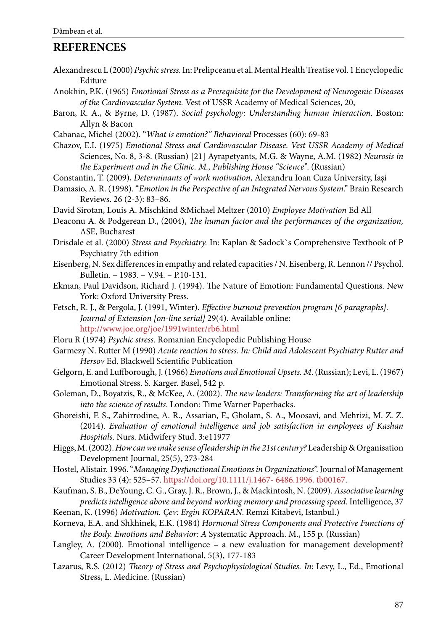### <span id="page-14-0"></span>**REFERENCES**

- Alexandrescu L (2000) *Psychic stress.* In: Prelipceanu et al. Mental Health Treatise vol. 1 Encyclopedic Editure
- Anokhin, P.K. (1965) *Emotional Stress as a Prerequisite for the Development of Neurogenic Diseases of the Cardiovascular System.* Vest of USSR Academy of Medical Sciences, 20,
- Baron, R. A., & Byrne, D. (1987). *Social psychology: Understanding human interaction*. Boston: Allyn & Bacon
- Cabanac, Michel (2002). "*What is emotion?" Behavioral* Processes (60): 69-83
- Chazov, E.I. (1975) *Emotional Stress and Cardiovascular Disease. Vest USSR Academy of Medical* Sciences, No. 8, 3-8. (Russian) [21] Ayrapetyants, M.G. & Wayne, A.M. (1982) *Neurosis in the Experiment and in the Clinic. M., Publishing House "Science"*. (Russian)
- Constantin, T. (2009), *Determinants of work motivation*, Alexandru Ioan Cuza University, Iaşi
- Damasio, A. R. (1998). "*Emotion in the Perspective of an Integrated Nervous System*." Brain Research Reviews. 26 (2-3): 83–86.

David Sirotan, Louis A. Mischkind &Michael Meltzer (2010) *Employee Motivation* Ed All

- Deaconu A. & Podgerean D., (2004), *The human factor and the performances of the organization,* ASE, Bucharest
- Drisdale et al. (2000) *Stress and Psychiatry.* In: Kaplan & Sadock`s Comprehensive Textbook of P Psychiatry 7th edition
- Eisenberg, N. Sex differences in empathy and related capacities / N. Eisenberg, R. Lennon // Psychol. Bulletin. – 1983. – V.94. – P.10-131.
- Ekman, Paul Davidson, Richard J. (1994). The Nature of Emotion: Fundamental Questions. New York: Oxford University Press.
- Fetsch, R. J., & Pergola, J. (1991, Winter). *Effective burnout prevention program [6 paragraphs]. Journal of Extension [on-line serial]* 29(4). Available online: <http://www.joe.org/joe/1991winter/rb6.html>
- Floru R (1974) *Psychic stress.* Romanian Encyclopedic Publishing House
- Garmezy N. Rutter M (1990) *Acute reaction to stress. In: Child and Adolescent Psychiatry Rutter and Hersov* Ed. Blackwell Scientific Publication
- Gelgorn, E. and Luffborough, J. (1966) *Emotions and Emotional Upsets. M*. (Russian); Levi, L. (1967) Emotional Stress. S. Karger. Basel, 542 p.
- Goleman, D., Boyatzis, R., & McKee, A. (2002). *The new leaders: Transforming the art of leadership into the science of results*. London: Time Warner Paperbacks.
- Ghoreishi, F. S., Zahirrodine, A. R., Assarian, F., Gholam, S. A., Moosavi, and Mehrizi, M. Z. Z. (2014). *Evaluation of emotional intelligence and job satisfaction in employees of Kashan Hospitals*. Nurs. Midwifery Stud. 3:e11977
- Higgs, M. (2002). *How can we make sense of leadership in the 21st century?* Leadership & Organisation Development Journal, 25(5), 273-284
- Hostel, Alistair. 1996. "*Managing Dysfunctional Emotions in Organizations*". Journal of Management Studies 33 (4): 525–57. https://doi.org/10.1111/j.1467- 6486.1996. tb00167.
- Kaufman, S. B., DeYoung, C. G., Gray, J. R., Brown, J., & Mackintosh, N. (2009). *Associative learning predicts intelligence above and beyond working memory and processing speed*. Intelligence, 37 Keenan, K. (1996) *Motivation. Çev: Ergin KOPARAN*. Remzi Kitabevi, Istanbul.)
- Korneva, E.A. and Shkhinek, E.K. (1984) *Hormonal Stress Components and Protective Functions of*

*the Body. Emotions and Behavior: A* Systematic Approach. M., 155 p. (Russian)

- Langley, A. (2000). Emotional intelligence a new evaluation for management development? Career Development International, 5(3), 177-183
- Lazarus, R.S. (2012) *Theory of Stress and Psychophysiological Studies. In*: Levy, L., Ed., Emotional Stress, L. Medicine. (Russian)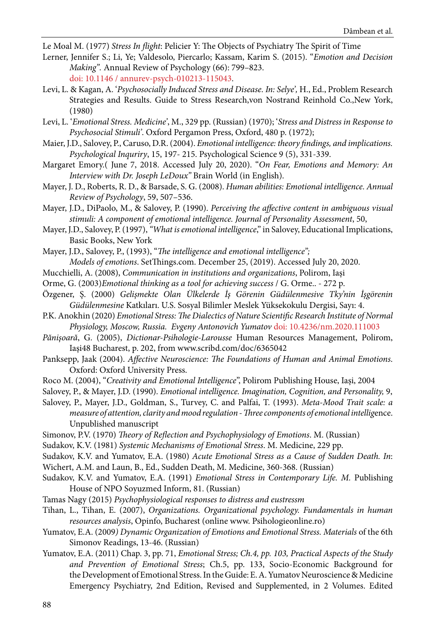<span id="page-15-0"></span>Le Moal M. (1977) *Stress In flight*: Pelicier Y: The Objects of Psychiatry The Spirit of Time

- Lerner, Jennifer S.; Li, Ye; Valdesolo, Piercarlo; Kassam, Karim S. (2015). "*Emotion and Decision Making".* Annual Review of Psychology (66): 799–823. doi: 10.1146 / annurev-psych-010213-115043.
- Levi, L. & Kagan, A. '*Psychosocially Induced Stress and Disease. In: Selye',* H., Ed., Problem Research Strategies and Results. Guide to Stress Research,von Nostrand Reinhold Co.,New York, (1980)
- Levi, L. '*Emotional Stress. Medicine'*, M., 329 pp. (Russian) (1970); '*Stress and Distress in Response to Psychosocial Stimuli'*. Oxford Pergamon Press, Oxford, 480 p. (1972);
- Maier, J.D., Salovey, P., Caruso, D.R. (2004). *Emotional intelligence: theory findings, and implications. Psychological Inquriry*, 15, 197- 215. Psychological Science 9 (5), 331-339.
- Margaret Emory.( June 7, 2018. Accessed July 20, 2020). "*On Fear, Emotions and Memory: An Interview with Dr. Joseph LeDoux"* Brain World (in English).
- Mayer, J. D., Roberts, R. D., & Barsade, S. G. (2008). *Human abilities: Emotional intelligence. Annual Review of Psychology*, 59, 507–536.
- Mayer, J.D., DiPaolo, M., & Salovey, P. (1990). *Perceiving the affective content in ambiguous visual stimuli: A component of emotional intelligence. Journal of Personality Assessment*, 50,
- Mayer, J.D., Salovey, P. (1997), *"What is emotional intelligence*," in Salovey, Educational Implications, Basic Books, New York

Mayer, J.D., Salovey, P., (1993), "*The intelligence and emotional intelligence"; Models of emotions*. SetThings.com. December 25, (2019). Accessed July 20, 2020.

- Mucchielli, A. (2008), *Communication in institutions and organizations*, Polirom, Iaşi
- Orme, G. (2003)*Emotional thinking as a tool for achieving success* / G. Orme.. 272 p.
- Özgener, Ş. (2000) *Gelişmekte Olan Ülkelerde İş Görenin Güdülenmesive Tky'nin İşgörenin Güdülenmesine* Katkıları. U.S. Sosyal Bilimler Meslek Yüksekokulu Dergisi, Sayı: 4.
- P.K. Anokhin (2020) *Emotional Stress: The Dialectics of Natur[e Scientific Research Institute of Normal](https://www.scirp.org/journal/articles.aspx?searchcode=P.K.+Anokhin+Scientific+Research+Institute+of+Normal+Physiology%2c+Moscow%2c+Russia&searchfield=affs&page=1&skid=0)  [Physiology, Moscow, Russia](https://www.scirp.org/journal/articles.aspx?searchcode=P.K.+Anokhin+Scientific+Research+Institute+of+Normal+Physiology%2c+Moscow%2c+Russia&searchfield=affs&page=1&skid=0).  [Evgeny Antonovich Yumatov](https://www.scirp.org/journal/articles.aspx?searchcode=Evgeny+Antonovich++Yumatov&searchfield=authors&page=1)* doi: [10.4236/nm.2020.111003](https://doi.org/10.4236/nm.2020.111003)
- *Pănişoară*, G. (2005), *Dictionar-Psihologie-Larousse* Human Resources Management, Polirom, Iaşi48 Bucharest, p. 202, from www.scribd.com/doc/6365042
- Panksepp, Jaak (2004). *Affective Neuroscience: The Foundations of Human and Animal Emotions*. Oxford: Oxford University Press.
- Roco M. (2004), "*Creativity and Emotional Intelligence*", Polirom Publishing House, Iași, 2004

Salovey, P., & Mayer, J.D. (1990). *Emotional intelligence. Imagination, Cognition, and Personality,* 9,

- Salovey, P., Mayer, J.D., Goldman, S., Turvey, C. and Palfai, T. (1993). *Meta-Mood Trait scale: a measure of attention, clarity and mood regulation - Three components of emotional intellig*ence. Unpublished manuscript
- Simonov, P.V. (1970) *Theory of Reflection and Psychophysiology of Emotions*. M. (Russian)
- Sudakov, K.V. (1981) *Systemic Mechanisms of Emotional Stress*. M. Medicine, 229 pp.
- Sudakov, K.V. and Yumatov, E.A. (1980) *Acute Emotional Stress as a Cause of Sudden Death. In*:
- Wichert, A.M. and Laun, B., Ed., Sudden Death, M. Medicine, 360-368. (Russian)
- Sudakov, K.V. and Yumatov, Е.А. (1991) *Emotional Stress in Contemporary Life. M.* Publishing House of NPO Soyuzmed Inform, 81. (Russian)
- Tamas Nagy (2015) *Psychophysiological responses to distress and eustressm*
- Tihan, L., Tihan, E. (2007), *Organizations. Organizational psychology. Fundamentals in human resources analysis*, Opinfo, Bucharest (online www. Psihologieonline.ro)
- Yumatov, E.A. (2009*) Dynamic Organization of Emotions and Emotional Stress. Materials* of the 6th Simonov Readings, 13-46. (Russian)
- Yumatov, E.A. (2011) Chap. 3, pp. 71, *Emotional Stress; Ch.4, pp. 103, Practical Aspects of the Study and Prevention of Emotional Stress*; Ch.5, pp. 133, Socio-Economic Background for the Development of Emotional Stress. In the Guide: E. A. Yumatov Neuroscience & Medicine Emergency Psychiatry, 2nd Edition, Revised and Supplemented, in 2 Volumes. Edited